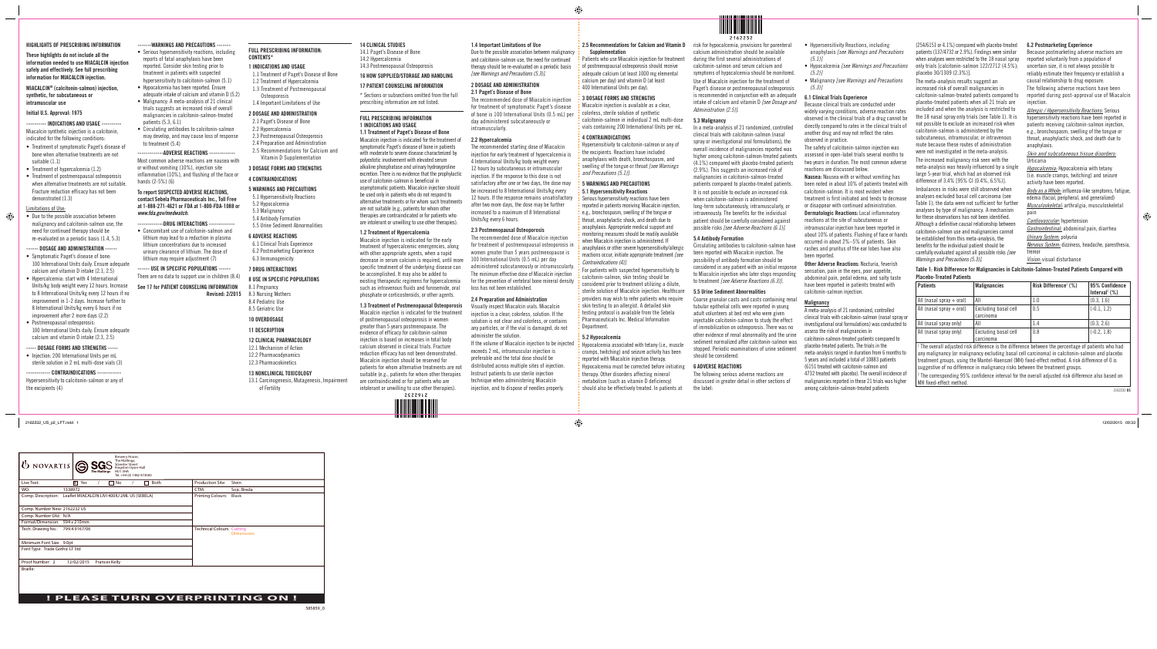#### HIGHLIGHTS OF PRESCRIBING INFORMATION

These highlights do not include all the information needed to use MIACALCIN injection safely and effectively. See full prescribing information for MIACALCIN injection.

MIACALCIN® (calcitonin-salmon) injection, synthetic, for subcutaneous or intramuscular use

### Initial U.S. Approval: 1975

---------- INDICATIONS AND USAGE ---------- Miacalcin synthetic injection is a calcitonin, indicated for the following conditions:

- Treatment of symptomatic Paget's disease of bone when alternative treatments are not suitable (1.1)
- Treatment of hypercalcemia (1.2)
- Treatment of postmenopausal osteoporosis when alternative treatments are not suitable. Fracture reduction efficacy has not been demonstrated (1.3)

# Limitations of Use:

 $\bigoplus$ 

• Injection: 200 International Units per mL sterile solution in 2 mL multi-dose vials (3)

#### ---- CONTRAINDICATIONS ----

• Due to the possible association between malignancy and calcitonin-salmon use, the need for continued therapy should be re-evaluated on a periodic basis (1.4, 5.3)

- reports of fatal anaphylaxis have been reported. Consider skin testing prior to treatment in patients with suspected hypersensitivity to calcitonin-salmon (5.1)
- Hypocalcemia has been reported. Ensure adequate intake of calcium and vitamin D (5.2)
- Malignancy: A meta-analysis of 21 clinical trials suggests an increased risk of overall malignancies in calcitonin-salmon-treated
- patients (5.3, 6.1) • Circulating antibodies to calcitonin-salmon may develop, and may cause loss of response to treatment (5.4)
- -ADVERSE REACTIONS ---

# ------ DOSAGE AND ADMINISTRATION ------

- Symptomatic Paget's disease of bone: 100 International Units daily. Ensure adequate calcium and vitamin D intake (2.1, 2.5)
- Hypercalcemia: start with 4 International Units/kg body weight every 12 hours. Increase to 8 International Units/kg every 12 hours if no improvement in 1-2 days. Increase further to 8 International Units/kg every 6 hours if no improvement after 2 more days (2.2)
- Postmenopausal osteoporosis: 100 International Units daily. Ensure adequate calcium and vitamin D intake (2.3, 2.5)
- ---DRUG INTERACTIONS ----• Concomitant use of calcitonin-salmon and
- lithium may lead to a reduction in plasma lithium concentrations due to increased urinary clearance of lithium. The dose of lithium may require adjustment (7)

## ----- DOSAGE FORMS AND STRENGTHS -----

Hypersensitivity to calcitonin-salmon or any of the excipients (4)

Most common adverse reactions are nausea with or without vomiting (10%), injection site inflammation (10%), and flushing of the face or hands (2-5%) (6)

#### To report SUSPECTED ADVERSE REACTIONS, contact Sebela Pharmaceuticals Inc., Toll Free at 1-888-271-4621 or FDA at 1-800-FDA-1088 or *www.fda.gov/medwatch.*

------ USE IN SPECIFIC POPULATIONS ------ There are no data to support use in children (8.4)

See 17 for PATIENT COUNSELING INFORMATION

Revised: 2/2015

#### FULL PRESCRIBING INFORMATION: CONTENTS\*

#### 1 INDICATIONS AND USAGE

- 1.1 Treatment of Paget's Disease of Bone 1.2 Treatment of Hypercalcemia
- 1.3 Treatment of Postmenopausal Osteoporosis
- 1.4 Important Limitations of Use

# 2 DOSAGE AND ADMINISTRATION

- 2.1 Paget's Disease of Bone
- 2.2 Hypercalcemia 2.3 Postmenopausal Osteoporosis
- 2.4 Preparation and Administration

# 2.5 Recommendations for Calcium and

# Vitamin D Supplementation

# 3 DOSAGE FORMS AND STRENGTHS

### 4 CONTRAINDICATIONS

#### 5 WARNINGS AND PRECAUTIONS 5.1 Hypersensitivity Reactions

- 5.2 Hypocalcemia 5.3 Malignancy 5.4 Antibody Formation
- 5.5 Urine Sediment Abnormalities 6 ADVERSE REACTIONS

# 6.1 Clinical Trials Experience

6.2 Postmarketing Experience 6.3 Immunogenicity

# 7 DRUG INTERACTIONS

# 8 USE IN SPECIFIC POPULATIONS

8.1 Pregnancy 8.3 Nursing Mothers 8.4 Pediatric Use 8.5 Geriatric Use

### 10 OVERDOSAGE

#### 11 DESCRIPTION

# 12 CLINICAL PHARMACOLOGY

- 12.1 Mechanism of Action 12.2 Pharmacodynamics
- 12.3 Pharmacokinetics
- 13 NONCLINICAL TOXICOLOGY
- 13.1 Carcinogenesis, Mutagenesis, Impairment of Fertility

# 2.5 Recommendations for Calcium and Vitamin D **Sunnlementation**

#### 14 CLINICAL STUDIES

- 14.1 Paget's Disease of Bone 14.2 Hypercalcemia 14.3 Postmenopausal Osteoporosis
- 16 HOW SUPPLIED/STORAGE AND HANDLING

# 17 PATIENT COUNSELING INFORMATION

\* Sections or subsections omitted from the full prescribing information are not listed.

# FULL PRESCRIBING INFORMATION 1 INDICATIONS AND USAGE

1.1 Treatment of Paget's Disease of Bone Miacalcin injection is indicated for the treatment of symptomatic Paget's disease of bone in patients with moderate to severe disease characterized by polyostotic involvement with elevated serum alkaline phosphatase and urinary hydroxyproline excretion. There is no evidence that the prophylactic use of calcitonin-salmon is beneficial in asymptomatic patients. Miacalcin injection should be used only in patients who do not respond to alternative treatments or for whom such treatments are not suitable (e.g., patients for whom other therapies are contraindicated or for patients who are intolerant or unwilling to use other therapies).

#### 1.2 Treatment of Hypercalcemia

Miacalcin injection is indicated for the early treatment of hypercalcemic emergencies, along with other appropriate agents, when a rapid decrease in serum calcium is required, until more specific treatment of the underlying disease can be accomplished. It may also be added to existing therapeutic regimens for hypercalcemia such as intravenous fluids and furosemide, oral phosphate or corticosteroids, or other agents.

#### 1.3 Treatment of Postmenopausal Osteoporosis

Miacalcin injection is indicated for the treatment of postmenopausal osteoporosis in women greater than 5 years postmenopause. The evidence of efficacy for calcitonin-salmon injection is based on increases in total body calcium observed in clinical trials. Fracture reduction efficacy has not been demonstrated. Miacalcin injection should be reserved for patients for whom alternative treatments are not suitable (e.g., patients for whom other therapies are contraindicated or for patients who are intolerant or unwilling to use other therapies).



#### 1.4 Important Limitations of Use

Due to the possible association between malignancy and calcitonin-salmon use, the need for continued therapy should be re-evaluated on a periodic basis *[see Warnings and Precautions (5.3)].*

# 2 DOSAGE AND ADMINISTRATION

# 2.1 Paget's Disease of Bone

The recommended dose of Miacalcin injection for treatment of symptomatic Paget's disease of bone is 100 International Units (0.5 mL) per day administered subcutaneously or intramuscularly.

2.2 Hypercalcemia

The recommended starting dose of Miacalcin injection for early treatment of hypercalcemia is 4 International Units/kg body weight every 12 hours by subcutaneous or intramuscular injection. If the response to this dose is not satisfactory after one or two days, the dose may be increased to 8 International Units/kg every 12 hours. If the response remains unsatisfactory after two more days, the dose may be further increased to a maximum of 8 International Units/kg every 6 hours.

#### 2.3 Postmenopausal Osteoporosis

The recommended dose of Miacalcin injection for treatment of postmenopausal osteoporosis in women greater than 5 years postmenopause is 100 International Units (0.5 mL) per day administered subcutaneously or intramuscularly. The minimum effective dose of Miacalcin injection for the prevention of vertebral bone mineral density loss has not been established.

#### 2.4 Preparation and Administration

Visually inspect Miacalcin vials. Miacalcin injection is a clear, colorless, solution. If the solution is not clear and colorless, or contains any particles, or if the vial is damaged, do not administer the solution.

If the volume of Miacalcin injection to be injected exceeds 2 mL, intramuscular injection is preferable and the total dose should be distributed across multiple sites of injection. Instruct patients to use sterile injection technique when administering Miacalcin injection, and to dispose of needles properly.

Patients who use Miacalcin injection for treatment of postmenopausal osteoporosis should receive adequate calcium (at least 1000 mg elemental calcium per day) and vitamin D (at least 400 International Units per day).

# 3 DOSAGE FORMS AND STRENGTHS

Miacalcin injection is available as a clear, colorless, sterile solution of synthetic calcitonin-salmon in individual 2 mL multi-dose vials containing 200 International Units per mL.

# 4 CONTRAINDICATIONS

Hypersensitivity to calcitonin-salmon or any of the excipients. Reactions have included anaphylaxis with death, bronchospasm, and swelling of the tongue or throat *[see Warnings and Precautions (5.1)].*

#### 5 WARNINGS AND PRECAUTIONS 5.1 Hypersensitivity Reactions

Serious hypersensitivity reactions have been reported in patients receiving Miacalcin injection, e.g., bronchospasm, swelling of the tongue or throat, anaphylactic shock, and death due to anaphylaxis. Appropriate medical support and monitoring measures should be readily available when Miacalcin injection is administered. If anaphylaxis or other severe hypersensitivity/allergic reactions occur, initiate appropriate treatment *[see Contraindications (4)].*

For patients with suspected hypersensitivity to calcitonin-salmon, skin testing should be considered prior to treatment utilizing a dilute, sterile solution of Miacalcin injection. Healthcare providers may wish to refer patients who require skin testing to an allergist. A detailed skin testing protocol is available from the Sebela Pharmaceuticals Inc. Medical Information Department.

# 5.2 Hypocalcemia

Hypocalcemia associated with tetany (i.e., muscle cramps, twitching) and seizure activity has been reported with Miacalcin injection therapy. Hypocalcemia must be corrected before initiating therapy. Other disorders affecting mineral metabolism (such as vitamin D deficiency) should also be effectively treated. In patients at

risk for hypocalcemia, provisions for parenteral calcium administration should be available during the first several administrations of calcitonin-salmon and serum calcium and symptoms of hypocalcemia should be monitored. Use of Miacalcin injection for the treatment of Paget's disease or postmenopausal osteoporosis is recommended in conjunction with an adequate intake of calcium and vitamin D *[see Dosage and Administration (2.5)].*

# 5.3 Malignancy

In a meta-analysis of 21 randomized, controlled clinical trials with calcitonin-salmon (nasal spray or investigational oral formulations), the overall incidence of malignancies reported was higher among calcitonin-salmon-treated patients (4.1%) compared with placebo-treated patients (2.9%). This suggests an increased risk of malignancies in calcitonin-salmon-treated patients compared to placebo-treated patients. It is not possible to exclude an increased risk when calcitonin-salmon is administered long-term subcutaneously, intramuscularly, or intravenously. The benefits for the individual patient should be carefully considered against possible risks *[see Adverse Reactions (6.1)].*

### 5.4 Antibody Formation

Circulating antibodies to calcitonin-salmon have been reported with Miacalcin injection. The possibility of antibody formation should be considered in any patient with an initial response to Miacalcin injection who later stops responding to treatment *[see Adverse Reactions (6.3)].*

#### 5.5 Urine Sediment Abnormalities

Coarse granular casts and casts containing renal tubular epithelial cells were reported in young adult volunteers at bed rest who were given injectable calcitonin-salmon to study the effect of immobilization on osteoporosis. There was no other evidence of renal abnormality and the urine sediment normalized after calcitonin-salmon was stopped. Periodic examinations of urine sediment should be considered.

#### 6 ADVERSE REACTIONS

The following serious adverse reactions are discussed in greater detail in other sections of the label:

- Hypersensitivity Reactions, including anaphylaxis *[see Warnings and Precautions (5.1)]*
- Hypocalcemia *[see Warnings and Precautions (5.2)]*
- Malignancy *[see Warnings and Precautions (5.3)]*

#### 6.1 Clinical Trials Experience

Because clinical trials are conducted under widely varying conditions, adverse reaction rates observed in the clinical trials of a drug cannot be directly compared to rates in the clinical trials of another drug and may not reflect the rates observed in practice.

The safety of calcitonin-salmon injection was assessed in open-label trials several months to two years in duration. The most common adverse reactions are discussed below.

Nausea: Nausea with or without vomiting has been noted in about 10% of patients treated with calcitonin-salmon. It is most evident when treatment is first initiated and tends to decrease or disappear with continued administration.

Dermatologic Reactions: Local inflammatory reactions at the site of subcutaneous or intramuscular injection have been reported in about 10% of patients. Flushing of face or hands occurred in about 2%–5% of patients. Skin rashes and pruritus of the ear lobes have also been reported.

Other Adverse Reactions: Nocturia, feverish sensation, pain in the eyes, poor appetite, abdominal pain, pedal edema, and salty taste have been reported in patients treated with calcitonin-salmon injection.

#### **Malignancy**

A meta-analysis of 21 randomized, controlled clinical trials with calcitonin-salmon (nasal spray or investigational oral formulations) was conducted to assess the risk of malignancies in calcitonin-salmon-treated patients compared to placebo-treated patients. The trials in the meta-analysis ranged in duration from 6 months to 5 years and included a total of 10883 patients (6151 treated with calcitonin-salmon and 4732 treated with placebo). The overall incidence of malignancies reported in these 21 trials was higher among calcitonin-salmon-treated patients

(254/6151 or 4.1%) compared with placebo-treated patients (137/4732 or 2.9%). Findings were similar when analyses were restricted to the 18 nasal spray only trials [calcitonin-salmon 122/2712 (4.5%); placebo 30/1309 (2.3%)].

The meta-analysis results suggest an increased risk of overall malignancies in calcitonin-salmon-treated patients compared to placebo-treated patients when all 21 trials are included and when the analysis is restricted to the 18 nasal spray only trials (see Table 1). It is not possible to exclude an increased risk when calcitonin-salmon is administered by the subcutaneous, intramuscular, or intravenous route because these routes of administration were not investigated in the meta-analysis. The increased malignancy risk seen with the meta-analysis was heavily influenced by a single large 5-year trial, which had an observed risk difference of 3.4% [95% CI (0.4%, 6.5%)]. Imbalances in risks were still observed when analyses excluded basal cell carcinoma (see Table 1); the data were not sufficient for further analyses by type of malignancy. A mechanism for these observations has not been identified. Although a definitive causal relationship between calcitonin-salmon use and malignancies cannot be established from this meta-analysis, the benefits for the individual patient should be carefully evaluated against all possible risks *[see Warnings and Precautions (5.3)].*

#### 6.2 Postmarketing Experience

Because postmarketing adverse reactions are reported voluntarily from a population of uncertain size, it is not always possible to reliably estimate their frequency or establish a causal relationship to drug exposure. The following adverse reactions have been reported during post-approval use of Miacalcin injection.

*Allergic / Hypersensitivity Reactions:* Serious hypersensitivity reactions have been reported in patients receiving calcitonin-salmon injection, e.g., bronchospasm, swelling of the tongue or throat, anaphylactic shock, and death due to anaphylaxis.

*Skin and subcutaneous tissue disorders:* Urticaria

*Hypocalcemia:* Hypocalcemia with tetany (i.e. muscle cramps, twitching) and seizure activity have been reported.

*Body as a Whole:* influenza-like symptoms, fatigue, edema (facial, peripheral, and generalized) *Musculoskeletal:* arthralgia, musculoskeletal pain

*Cardiovascular:* hypertension *Gastrointestinal:* abdominal pain, diarrhea *Urinary System:* polyuria *Nervous System:* dizziness, headache, paresthesia, tremor

*Vision:* visual disturbance

| Table 1: Risk Difference for Malignancies in Calcitonin-Salmon-Treated Patients Compared with |
|-----------------------------------------------------------------------------------------------|
| <b>Placebo-Treated Patients</b>                                                               |

| <b>Patients</b>            | <b>Malignancies</b>               | Risk Difference <sup>1</sup> (%)                                                                                                                                                                                                                                                                                    | 95% Confidence<br>Interval <sup>2</sup> $(\%)$ |
|----------------------------|-----------------------------------|---------------------------------------------------------------------------------------------------------------------------------------------------------------------------------------------------------------------------------------------------------------------------------------------------------------------|------------------------------------------------|
| All (nasal spray $+$ oral) | AII                               | 1.0                                                                                                                                                                                                                                                                                                                 | (0.3, 1.6)                                     |
| All (nasal spray $+$ oral) | Excluding basal cell<br>carcinoma | 0.5                                                                                                                                                                                                                                                                                                                 | $(-0.1, 1.2)$                                  |
| All (nasal spray only)     | AII                               | 1.4                                                                                                                                                                                                                                                                                                                 | (0.3, 2.6)                                     |
| All (nasal spray only)     | Excluding basal cell<br>carcinoma | 0.8                                                                                                                                                                                                                                                                                                                 | $(-0.2, 1.8)$                                  |
|                            |                                   | <sup>1</sup> The overall adjusted risk difference is the difference between the percentage of patients who had<br>any malignancy (or malignancy excluding basal cell carcinoma) in calcitonin-salmon and placebo<br>treatment groups, using the Mantel-Haenszel (MH) fixed-effect method. A risk difference of 0 is |                                                |

suggestive of no difference in malignancy risks between the treatment groups.

2 The corresponding 95% confidence interval for the overall adjusted risk difference also based on MH fixed-effect method.

 $\bigcirc$ 





2162232\_US\_p2\_LFT.indd 1 12/02/2015 09:33

#### --WARNINGS AND PRECAUTIONS ----• Serious hypersensitivity reactions, including